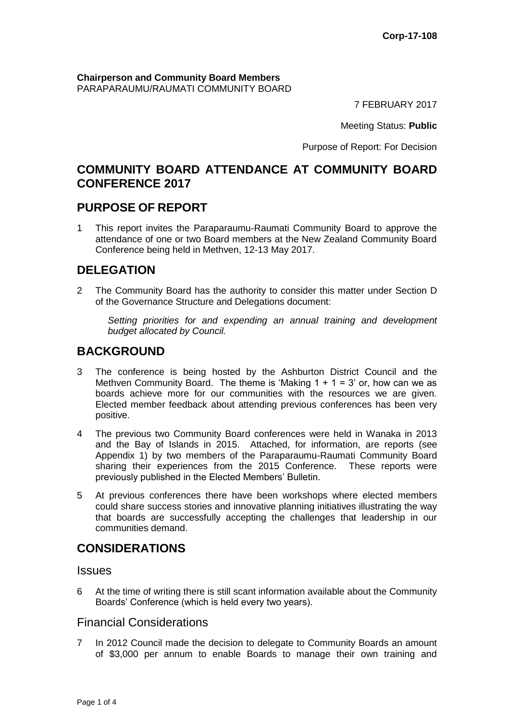**Chairperson and Community Board Members** PARAPARAUMU/RAUMATI COMMUNITY BOARD

7 FEBRUARY 2017

Meeting Status: **Public**

Purpose of Report: For Decision

# **COMMUNITY BOARD ATTENDANCE AT COMMUNITY BOARD CONFERENCE 2017**

# **PURPOSE OF REPORT**

1 This report invites the Paraparaumu-Raumati Community Board to approve the attendance of one or two Board members at the New Zealand Community Board Conference being held in Methven, 12-13 May 2017.

# **DELEGATION**

2 The Community Board has the authority to consider this matter under Section D of the Governance Structure and Delegations document:

*Setting priorities for and expending an annual training and development budget allocated by Council.*

# **BACKGROUND**

- 3 The conference is being hosted by the Ashburton District Council and the Methven Community Board. The theme is 'Making  $1 + 1 = 3$ ' or, how can we as boards achieve more for our communities with the resources we are given. Elected member feedback about attending previous conferences has been very positive.
- 4 The previous two Community Board conferences were held in Wanaka in 2013 and the Bay of Islands in 2015. Attached, for information, are reports (see Appendix 1) by two members of the Paraparaumu-Raumati Community Board sharing their experiences from the 2015 Conference. These reports were previously published in the Elected Members' Bulletin.
- 5 At previous conferences there have been workshops where elected members could share success stories and innovative planning initiatives illustrating the way that boards are successfully accepting the challenges that leadership in our communities demand.

# **CONSIDERATIONS**

#### **Issues**

6 At the time of writing there is still scant information available about the Community Boards' Conference (which is held every two years).

### Financial Considerations

7 In 2012 Council made the decision to delegate to Community Boards an amount of \$3,000 per annum to enable Boards to manage their own training and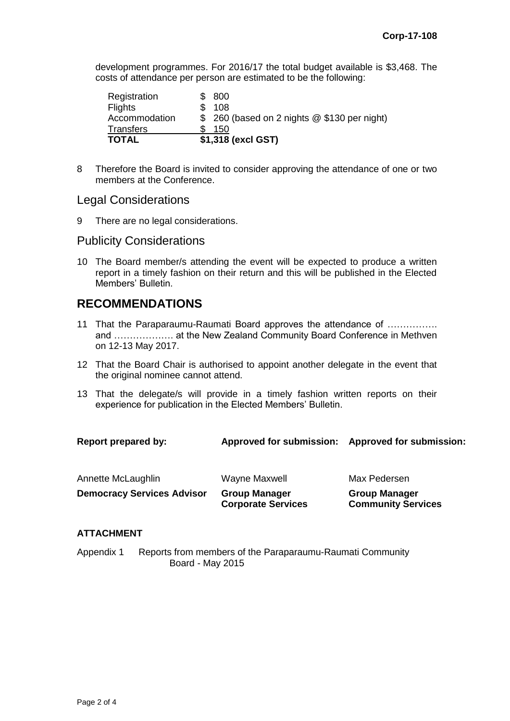development programmes. For 2016/17 the total budget available is \$3,468. The costs of attendance per person are estimated to be the following:

| <b>TOTAL</b>     | \$1,318 (excl GST)                           |
|------------------|----------------------------------------------|
| <b>Transfers</b> | 150                                          |
| Accommodation    | \$ 260 (based on 2 nights @ \$130 per night) |
| <b>Flights</b>   | 108                                          |
| Registration     | \$ 800                                       |

8 Therefore the Board is invited to consider approving the attendance of one or two members at the Conference.

### Legal Considerations

9 There are no legal considerations.

#### Publicity Considerations

10 The Board member/s attending the event will be expected to produce a written report in a timely fashion on their return and this will be published in the Elected Members' Bulletin.

# **RECOMMENDATIONS**

- 11 That the Paraparaumu-Raumati Board approves the attendance of ……………. and ………………. at the New Zealand Community Board Conference in Methven on 12-13 May 2017.
- 12 That the Board Chair is authorised to appoint another delegate in the event that the original nominee cannot attend.
- 13 That the delegate/s will provide in a timely fashion written reports on their experience for publication in the Elected Members' Bulletin.

| <b>Report prepared by:</b>        | <b>Approved for submission:</b>                   | <b>Approved for submission:</b>                   |
|-----------------------------------|---------------------------------------------------|---------------------------------------------------|
| Annette McLaughlin                | Wayne Maxwell                                     | Max Pedersen                                      |
| <b>Democracy Services Advisor</b> | <b>Group Manager</b><br><b>Corporate Services</b> | <b>Group Manager</b><br><b>Community Services</b> |

#### **ATTACHMENT**

Appendix 1 Reports from members of the Paraparaumu-Raumati Community Board - May 2015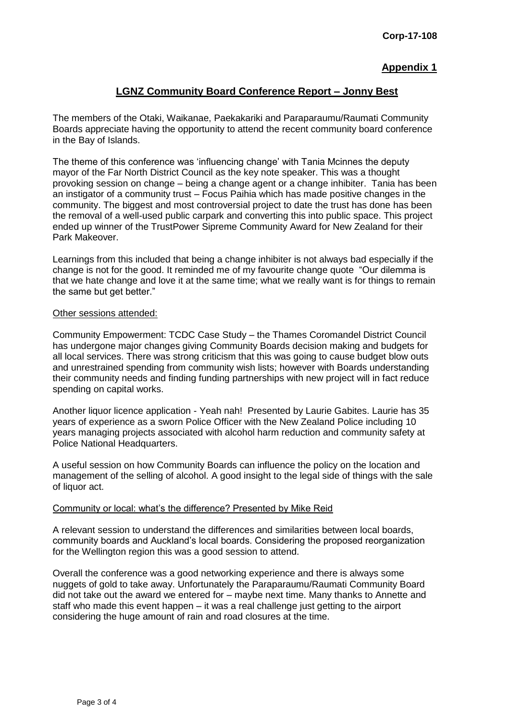### **Appendix 1**

### **LGNZ Community Board Conference Report – Jonny Best**

The members of the Otaki, Waikanae, Paekakariki and Paraparaumu/Raumati Community Boards appreciate having the opportunity to attend the recent community board conference in the Bay of Islands.

The theme of this conference was 'influencing change' with Tania Mcinnes the deputy mayor of the Far North District Council as the key note speaker. This was a thought provoking session on change – being a change agent or a change inhibiter. Tania has been an instigator of a community trust – Focus Paihia which has made positive changes in the community. The biggest and most controversial project to date the trust has done has been the removal of a well-used public carpark and converting this into public space. This project ended up winner of the TrustPower Sipreme Community Award for New Zealand for their Park Makeover.

Learnings from this included that being a change inhibiter is not always bad especially if the change is not for the good. It reminded me of my favourite change quote "Our dilemma is that we hate change and love it at the same time; what we really want is for things to remain the same but get better."

#### Other sessions attended:

Community Empowerment: TCDC Case Study – the Thames Coromandel District Council has undergone major changes giving Community Boards decision making and budgets for all local services. There was strong criticism that this was going to cause budget blow outs and unrestrained spending from community wish lists; however with Boards understanding their community needs and finding funding partnerships with new project will in fact reduce spending on capital works.

Another liquor licence application - Yeah nah! Presented by Laurie Gabites. Laurie has 35 years of experience as a sworn Police Officer with the New Zealand Police including 10 years managing projects associated with alcohol harm reduction and community safety at Police National Headquarters.

A useful session on how Community Boards can influence the policy on the location and management of the selling of alcohol. A good insight to the legal side of things with the sale of liquor act.

#### Community or local: what's the difference? Presented by Mike Reid

A relevant session to understand the differences and similarities between local boards, community boards and Auckland's local boards. Considering the proposed reorganization for the Wellington region this was a good session to attend.

Overall the conference was a good networking experience and there is always some nuggets of gold to take away. Unfortunately the Paraparaumu/Raumati Community Board did not take out the award we entered for – maybe next time. Many thanks to Annette and staff who made this event happen – it was a real challenge just getting to the airport considering the huge amount of rain and road closures at the time.